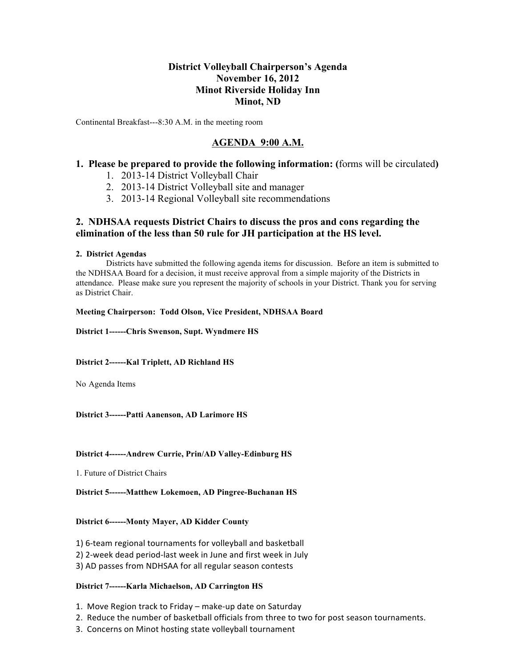# **District Volleyball Chairperson's Agenda November 16, 2012 Minot Riverside Holiday Inn Minot, ND**

Continental Breakfast---8:30 A.M. in the meeting room

# **AGENDA 9:00 A.M.**

## **1. Please be prepared to provide the following information: (**forms will be circulated**)**

- 1. 2013-14 District Volleyball Chair
- 2. 2013-14 District Volleyball site and manager
- 3. 2013-14 Regional Volleyball site recommendations

## **2. NDHSAA requests District Chairs to discuss the pros and cons regarding the elimination of the less than 50 rule for JH participation at the HS level.**

### **2. District Agendas**

Districts have submitted the following agenda items for discussion. Before an item is submitted to the NDHSAA Board for a decision, it must receive approval from a simple majority of the Districts in attendance. Please make sure you represent the majority of schools in your District. Thank you for serving as District Chair.

**Meeting Chairperson: Todd Olson, Vice President, NDHSAA Board** 

**District 1------Chris Swenson, Supt. Wyndmere HS**

### **District 2------Kal Triplett, AD Richland HS**

No Agenda Items

## **District 3------Patti Aanenson, AD Larimore HS**

### **District 4------Andrew Currie, Prin/AD Valley-Edinburg HS**

1. Future of District Chairs

### **District 5------Matthew Lokemoen, AD Pingree-Buchanan HS**

### **District 6------Monty Mayer, AD Kidder County**

- 1) 6-team regional tournaments for volleyball and basketball
- 2) 2-week dead period-last week in June and first week in July
- 3) AD passes from NDHSAA for all regular season contests

### **District 7------Karla Michaelson, AD Carrington HS**

- 1. Move Region track to Friday make-up date on Saturday
- 2. Reduce the number of basketball officials from three to two for post season tournaments.
- 3. Concerns on Minot hosting state volleyball tournament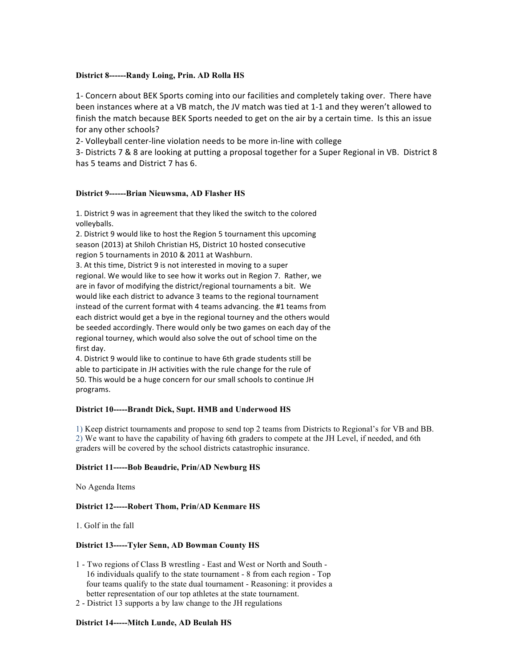#### **District 8------Randy Loing, Prin. AD Rolla HS**

1- Concern about BEK Sports coming into our facilities and completely taking over. There have been instances where at a VB match, the JV match was tied at 1-1 and they weren't allowed to finish the match because BEK Sports needed to get on the air by a certain time. Is this an issue for any other schools?

2- Volleyball center-line violation needs to be more in-line with college

3- Districts 7 & 8 are looking at putting a proposal together for a Super Regional in VB. District 8 has 5 teams and District 7 has 6.

#### **District 9------Brian Nieuwsma, AD Flasher HS**

1. District 9 was in agreement that they liked the switch to the colored volleyballs.

2. District 9 would like to host the Region 5 tournament this upcoming season (2013) at Shiloh Christian HS, District 10 hosted consecutive region 5 tournaments in 2010 & 2011 at Washburn.

3. At this time, District 9 is not interested in moving to a super regional. We would like to see how it works out in Region 7. Rather, we are in favor of modifying the district/regional tournaments a bit. We would like each district to advance 3 teams to the regional tournament instead of the current format with 4 teams advancing. the #1 teams from each district would get a bye in the regional tourney and the others would be seeded accordingly. There would only be two games on each day of the regional tourney, which would also solve the out of school time on the first day.

4. District 9 would like to continue to have 6th grade students still be able to participate in JH activities with the rule change for the rule of 50. This would be a huge concern for our small schools to continue JH programs.

### **District 10-----Brandt Dick, Supt. HMB and Underwood HS**

1) Keep district tournaments and propose to send top 2 teams from Districts to Regional's for VB and BB. 2) We want to have the capability of having 6th graders to compete at the JH Level, if needed, and 6th graders will be covered by the school districts catastrophic insurance.

### **District 11-----Bob Beaudrie, Prin/AD Newburg HS**

No Agenda Items

### **District 12-----Robert Thom, Prin/AD Kenmare HS**

1. Golf in the fall

#### **District 13-----Tyler Senn, AD Bowman County HS**

- 1 Two regions of Class B wrestling East and West or North and South 16 individuals qualify to the state tournament - 8 from each region - Top four teams qualify to the state dual tournament - Reasoning: it provides a better representation of our top athletes at the state tournament.
- 2 District 13 supports a by law change to the JH regulations

#### **District 14-----Mitch Lunde, AD Beulah HS**